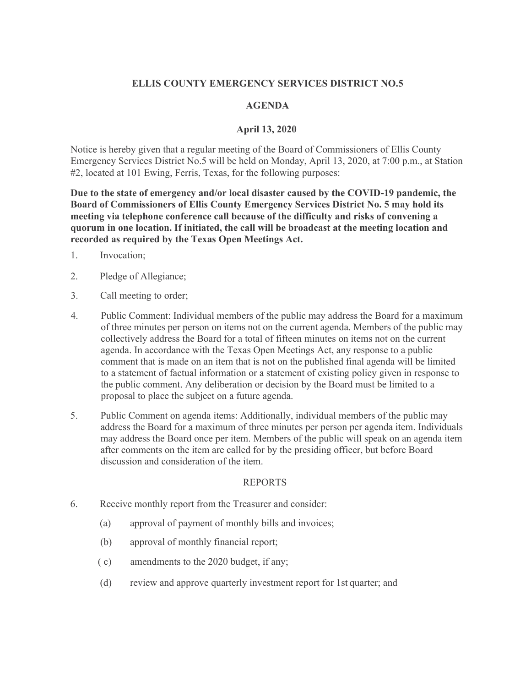# **ELLIS COUNTY EMERGENCY SERVICES DISTRICT NO.5**

## **AGENDA**

## **April 13, 2020**

Notice is hereby given that a regular meeting of the Board of Commissioners of Ellis County Emergency Services District No.5 will be held on Monday, April 13, 2020, at 7:00 p.m., at Station #2, located at 101 Ewing, Ferris, Texas, for the following purposes:

**Due to the state of emergency and/or local disaster caused by the COVID-19 pandemic, the Board of Commissioners of Ellis County Emergency Services District No. 5 may hold its meeting via telephone conference call because of the difficulty and risks of convening a quorum in one location. If initiated, the call will be broadcast at the meeting location and recorded as required by the Texas Open Meetings Act.** 

- 1. Invocation;
- 2. Pledge of Allegiance;
- 3. Call meeting to order;
- 4. Public Comment: Individual members of the public may address the Board for a maximum of three minutes per person on items not on the current agenda. Members of the public may collectively address the Board for a total of fifteen minutes on items not on the current agenda. In accordance with the Texas Open Meetings Act, any response to a public comment that is made on an item that is not on the published final agenda will be limited to a statement of factual information or a statement of existing policy given in response to the public comment. Any deliberation or decision by the Board must be limited to a proposal to place the subject on a future agenda.
- 5. Public Comment on agenda items: Additionally, individual members of the public may address the Board for a maximum of three minutes per person per agenda item. Individuals may address the Board once per item. Members of the public will speak on an agenda item after comments on the item are called for by the presiding officer, but before Board discussion and consideration of the item.

#### REPORTS

- 6. Receive monthly report from the Treasurer and consider:
	- (a) approval of payment of monthly bills and invoices;
	- (b) approval of monthly financial report;
	- ( c) amendments to the 2020 budget, if any;
	- (d) review and approve quarterly investment report for 1st quarter; and